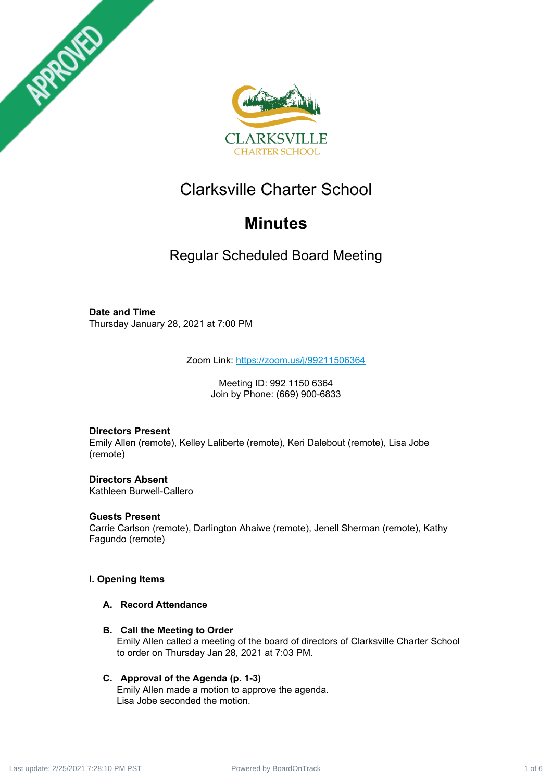



# Clarksville Charter School

# **Minutes**

Regular Scheduled Board Meeting

# **Date and Time**

Thursday January 28, 2021 at 7:00 PM

Zoom Link: <https://zoom.us/j/99211506364>

Meeting ID: 992 1150 6364 Join by Phone: (669) 900-6833

## **Directors Present**

Emily Allen (remote), Kelley Laliberte (remote), Keri Dalebout (remote), Lisa Jobe (remote)

#### **Directors Absent** Kathleen Burwell-Callero

## **Guests Present**

Carrie Carlson (remote), Darlington Ahaiwe (remote), Jenell Sherman (remote), Kathy Fagundo (remote)

# **I. Opening Items**

- **A. Record Attendance**
- **B. Call the Meeting to Order** Emily Allen called a meeting of the board of directors of Clarksville Charter School to order on Thursday Jan 28, 2021 at 7:03 PM.

## **C. Approval of the Agenda (p. 1-3)**

Emily Allen made a motion to approve the agenda. Lisa Jobe seconded the motion.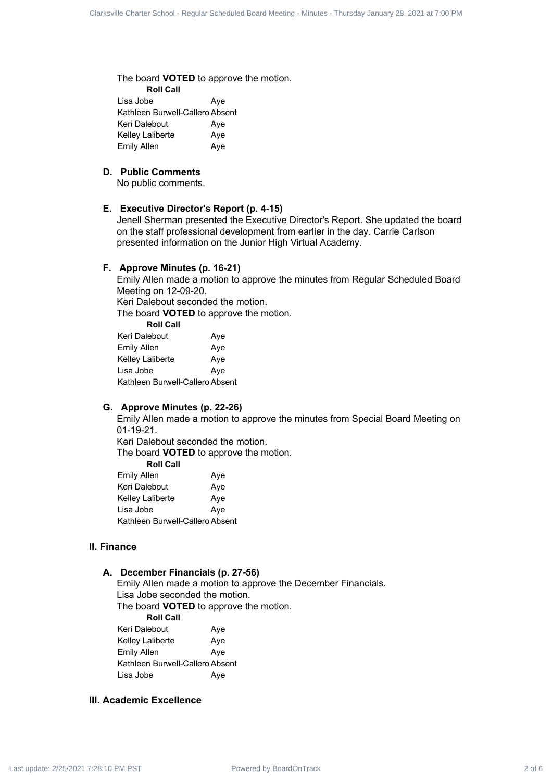The board **VOTED** to approve the motion.

**Roll Call** Lisa Jobe **Aye** Kathleen Burwell-Callero Absent Keri Dalebout Aye Kelley Laliberte Aye Emily Allen Aye

#### **D. Public Comments**

No public comments.

#### **E. Executive Director's Report (p. 4-15)**

Jenell Sherman presented the Executive Director's Report. She updated the board on the staff professional development from earlier in the day. Carrie Carlson presented information on the Junior High Virtual Academy. Clarical - Clarical - State School - Regular Charter School - Regular School - Regular Charter School - Regular School - Regular Scheduled Board - Minutes - The Charter School - Minutes - The Charter School - Minutes - Th

#### **F. Approve Minutes (p. 16-21)**

Emily Allen made a motion to approve the minutes from Regular Scheduled Board Meeting on 12-09-20.

Keri Dalebout seconded the motion.

The board **VOTED** to approve the motion. **Roll Call**

| ROIL CAIL                       |     |
|---------------------------------|-----|
| Keri Dalebout                   | Aye |
| Emily Allen                     | Aye |
| Kelley Laliberte                | Aye |
| Lisa Jobe                       | Aye |
| Kathleen Burwell-Callero Absent |     |

#### **G. Approve Minutes (p. 22-26)**

Emily Allen made a motion to approve the minutes from Special Board Meeting on 01-19-21.

Keri Dalebout seconded the motion. The board **VOTED** to approve the motion.

**Roll Call**

| Emily Allen                     | Aye |
|---------------------------------|-----|
| Keri Dalebout                   | Aye |
| Kelley Laliberte                | Aye |
| Lisa Jobe                       | Aye |
| Kathleen Burwell-Callero Absent |     |

## **II. Finance**

#### **A. December Financials (p. 27-56)**

Emily Allen made a motion to approve the December Financials.

Lisa Jobe seconded the motion.

The board **VOTED** to approve the motion.

**Roll Call**

| Keri Dalebout                   | Aye |
|---------------------------------|-----|
| Kelley Laliberte                | Aye |
| Emily Allen                     | Aye |
| Kathleen Burwell-Callero Absent |     |
| Lisa Jobe                       | Aye |

# **III. Academic Excellence**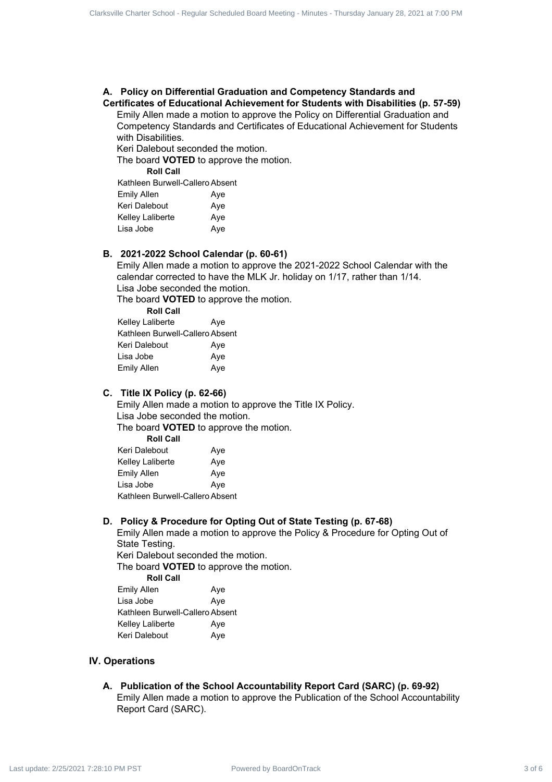#### **A. Policy on Differential Graduation and Competency Standards and Certificates of Educational Achievement for Students with Disabilities (p. 57-59)**

Emily Allen made a motion to approve the Policy on Differential Graduation and Competency Standards and Certificates of Educational Achievement for Students with Disabilities.

Keri Dalebout seconded the motion.

The board **VOTED** to approve the motion.

**Roll Call**

| Kathleen Burwell-Callero Absent |     |
|---------------------------------|-----|
| <b>Emily Allen</b>              | Aye |
| Keri Dalebout                   | Aye |
| Kelley Laliberte                | Aye |
| Lisa Jobe                       | Aye |
|                                 |     |

#### **B. 2021-2022 School Calendar (p. 60-61)**

Emily Allen made a motion to approve the 2021-2022 School Calendar with the calendar corrected to have the MLK Jr. holiday on 1/17, rather than 1/14. Lisa Jobe seconded the motion.

The board **VOTED** to approve the motion.

| <b>Roll Call</b>                |     |
|---------------------------------|-----|
| Kelley Laliberte                | Aye |
| Kathleen Burwell-Callero Absent |     |
| Keri Dalebout                   | Aye |
| Lisa Jobe                       | Aye |
| <b>Emily Allen</b>              | Aye |

#### **C. Title IX Policy (p. 62-66)**

Emily Allen made a motion to approve the Title IX Policy. Lisa Jobe seconded the motion.

The board **VOTED** to approve the motion. **Roll Call**

| RUII VAII                       |     |
|---------------------------------|-----|
| Keri Dalebout                   | Aye |
| Kelley Laliberte                | Aye |
| Emily Allen                     | Aye |
| Lisa Jobe                       | Aye |
| Kathleen Burwell-Callero Absent |     |

#### **D. Policy & Procedure for Opting Out of State Testing (p. 67-68)**

Emily Allen made a motion to approve the Policy & Procedure for Opting Out of State Testing. Keri Dalebout seconded the motion. The board **VOTED** to approve the motion. Clarent Charter School - Regular School - Regular Scheduled Board - Regular Scheduled Board - Regular School - Regular Scheduled Board - Regular Scheduled Board - Regular Scheduled Board - Regular Scheduled Board - Regular

**Roll Call** Emily Allen Aye Lisa Jobe **Aye** Kathleen Burwell-Callero Absent Kelley Laliberte **Aye** Keri Dalebout Aye

#### **IV. Operations**

#### **A. Publication of the School Accountability Report Card (SARC) (p. 69-92)** Emily Allen made a motion to approve the Publication of the School Accountability Report Card (SARC).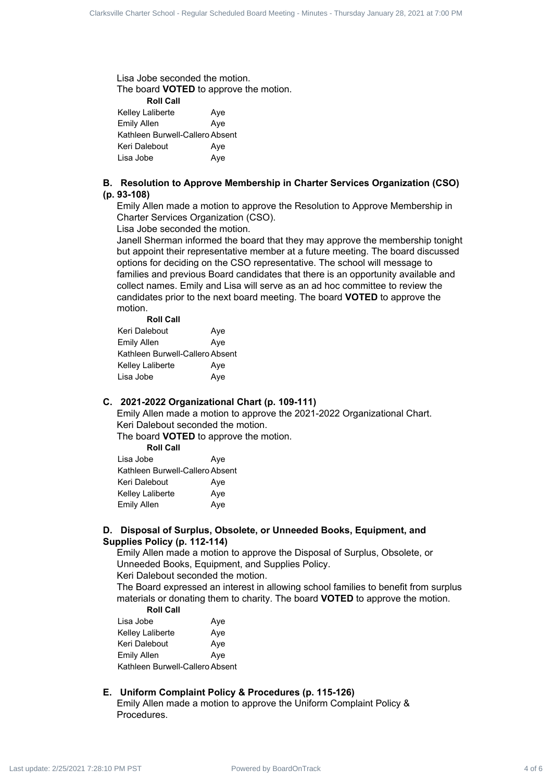Lisa Jobe seconded the motion. The board **VOTED** to approve the motion. **Roll Call** Kelley Laliberte **Aye** Emily Allen Aye Kathleen Burwell-Callero Absent Keri Dalebout Aye Lisa Jobe **Aye** 

#### **B. Resolution to Approve Membership in Charter Services Organization (CSO) (p. 93-108)**

Emily Allen made a motion to approve the Resolution to Approve Membership in Charter Services Organization (CSO).

Lisa Jobe seconded the motion.

Janell Sherman informed the board that they may approve the membership tonight but appoint their representative member at a future meeting. The board discussed options for deciding on the CSO representative. The school will message to families and previous Board candidates that there is an opportunity available and collect names. Emily and Lisa will serve as an ad hoc committee to review the candidates prior to the next board meeting. The board **VOTED** to approve the motion. **Roll Call** Clare of European Company Scheduled Board Charter School - Regular School - Regular Scheduled Board Charter School - Regular Schedule Charter Schedule Charter Schedule Charter Schedule Charter School - A property and Compa

| ROII CAII                       |     |
|---------------------------------|-----|
| Keri Dalebout                   | Aye |
| Emily Allen                     | Aye |
| Kathleen Burwell-Callero Absent |     |
| Kelley Laliberte                | Aye |
| Lisa Jobe                       | Aye |

# **C. 2021-2022 Organizational Chart (p. 109-111)**

Emily Allen made a motion to approve the 2021-2022 Organizational Chart. Keri Dalebout seconded the motion.

The board **VOTED** to approve the motion.

**Roll Call**

| Lisa Jobe                       | Aye |
|---------------------------------|-----|
| Kathleen Burwell-Callero Absent |     |
| Keri Dalebout                   | Aye |
| <b>Kelley Laliberte</b>         | Aye |
| <b>Emily Allen</b>              | Aye |

#### **D. Disposal of Surplus, Obsolete, or Unneeded Books, Equipment, and Supplies Policy (p. 112-114)**

Emily Allen made a motion to approve the Disposal of Surplus, Obsolete, or Unneeded Books, Equipment, and Supplies Policy. Keri Dalebout seconded the motion.

The Board expressed an interest in allowing school families to benefit from surplus materials or donating them to charity. The board **VOTED** to approve the motion. **Roll Call**

| Lisa Jobe                       | Aye |
|---------------------------------|-----|
| Kelley Laliberte                | Aye |
| Keri Dalebout                   | Aye |
| Emily Allen                     | Aye |
| Kathleen Burwell-Callero Absent |     |

#### **E. Uniform Complaint Policy & Procedures (p. 115-126)**

Emily Allen made a motion to approve the Uniform Complaint Policy & Procedures.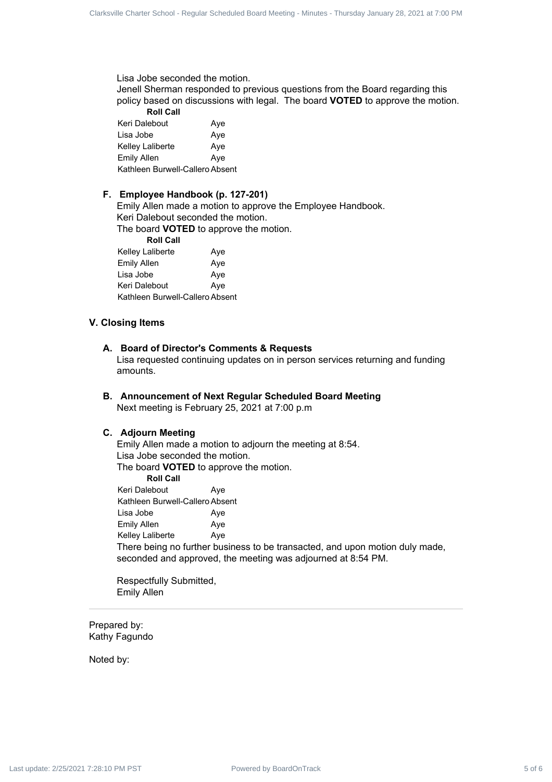Lisa Jobe seconded the motion.

Jenell Sherman responded to previous questions from the Board regarding this policy based on discussions with legal. The board **VOTED** to approve the motion.

**Roll Call** Keri Dalebout **Aye** Lisa Jobe Aye Kelley Laliberte **Aye** Emily Allen Aye Kathleen Burwell-Callero Absent

#### **F. Employee Handbook (p. 127-201)**

Emily Allen made a motion to approve the Employee Handbook. Keri Dalebout seconded the motion.

The board **VOTED** to approve the motion.

**Roll Call** Kelley Laliberte Aye Emily Allen Aye Lisa Jobe **Aye** Keri Dalebout Aye Kathleen Burwell-Callero Absent

#### **V. Closing Items**

#### **A. Board of Director's Comments & Requests**

Lisa requested continuing updates on in person services returning and funding amounts.

**B. Announcement of Next Regular Scheduled Board Meeting** Next meeting is February 25, 2021 at 7:00 p.m

#### **C. Adjourn Meeting**

Emily Allen made a motion to adjourn the meeting at 8:54. Lisa Jobe seconded the motion. The board **VOTED** to approve the motion. **Roll Call** Keri Dalebout Aye Kathleen Burwell-Callero Absent Lisa Jobe **Aye** Emily Allen Aye Kelley Laliberte Aye There being no further business to be transacted, and upon motion duly made, seconded and approved, the meeting was adjourned at 8:54 PM. Clare of Europe Scheduled Board Scheduled Board Charter Scheduled Board Charter Scheduled Board Charter School - Regular Scheduled Board Charter Scheduled Board Charter Scheduled Board Charter Scheduled Board Charter Sched

Respectfully Submitted, Emily Allen

Prepared by: Kathy Fagundo

Noted by: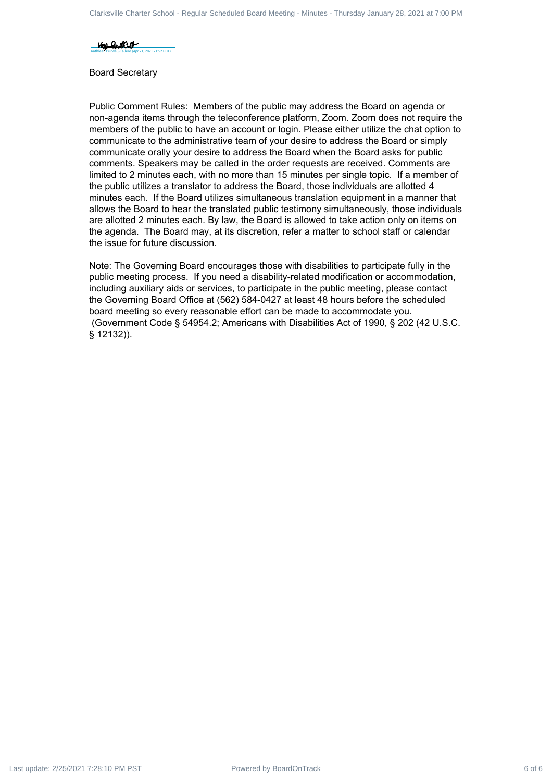

Board Secretary

Public Comment Rules: Members of the public may address the Board on agenda or non-agenda items through the teleconference platform, Zoom. Zoom does not require the members of the public to have an account or login. Please either utilize the chat option to communicate to the administrative team of your desire to address the Board or simply communicate orally your desire to address the Board when the Board asks for public comments. Speakers may be called in the order requests are received. Comments are limited to 2 minutes each, with no more than 15 minutes per single topic. If a member of the public utilizes a translator to address the Board, those individuals are allotted 4 minutes each. If the Board utilizes simultaneous translation equipment in a manner that allows the Board to hear the translated public testimony simultaneously, those individuals are allotted 2 minutes each. By law, the Board is allowed to take action only on items on the agenda. The Board may, at its discretion, refer a matter to school staff or calendar the issue for future discussion. Clarical - Clarical - Square School - Square School - Regular School - Regular Scheduled Board - Regular School - Regular Schedule 2 of 6 Clarical - Minutes - The policies of Figure - Minutes - The policies of Figure - Min

Note: The Governing Board encourages those with disabilities to participate fully in the public meeting process. If you need a disability-related modification or accommodation, including auxiliary aids or services, to participate in the public meeting, please contact the Governing Board Office at (562) 584-0427 at least 48 hours before the scheduled board meeting so every reasonable effort can be made to accommodate you. (Government Code § 54954.2; Americans with Disabilities Act of 1990, § 202 (42 U.S.C. § 12132)).